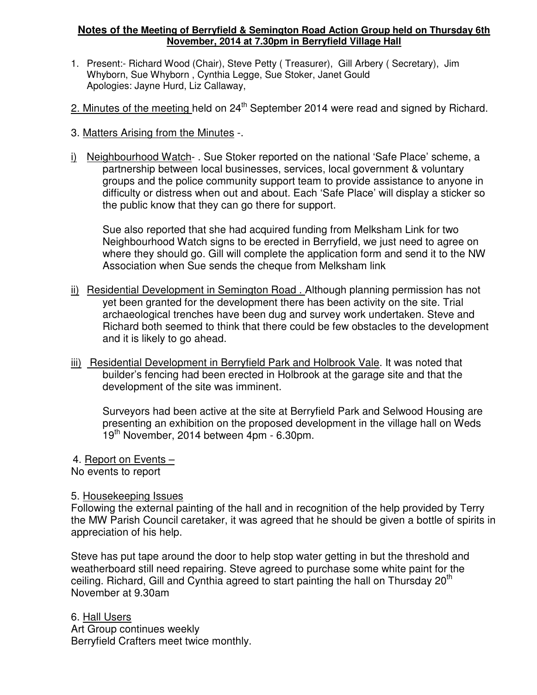### **Notes of the Meeting of Berryfield & Semington Road Action Group held on Thursday 6th November, 2014 at 7.30pm in Berryfield Village Hall**

- 1. Present:- Richard Wood (Chair), Steve Petty ( Treasurer), Gill Arbery ( Secretary), Jim Whyborn, Sue Whyborn , Cynthia Legge, Sue Stoker, Janet Gould Apologies: Jayne Hurd, Liz Callaway,
- 2. Minutes of the meeting held on  $24<sup>th</sup>$  September 2014 were read and signed by Richard.
- 3. Matters Arising from the Minutes -.
- i) Neighbourhood Watch- . Sue Stoker reported on the national 'Safe Place' scheme, a partnership between local businesses, services, local government & voluntary groups and the police community support team to provide assistance to anyone in difficulty or distress when out and about. Each 'Safe Place' will display a sticker so the public know that they can go there for support.

Sue also reported that she had acquired funding from Melksham Link for two Neighbourhood Watch signs to be erected in Berryfield, we just need to agree on where they should go. Gill will complete the application form and send it to the NW Association when Sue sends the cheque from Melksham link

- ii) Residential Development in Semington Road . Although planning permission has not yet been granted for the development there has been activity on the site. Trial archaeological trenches have been dug and survey work undertaken. Steve and Richard both seemed to think that there could be few obstacles to the development and it is likely to go ahead.
- iii) Residential Development in Berryfield Park and Holbrook Vale. It was noted that builder's fencing had been erected in Holbrook at the garage site and that the development of the site was imminent.

Surveyors had been active at the site at Berryfield Park and Selwood Housing are presenting an exhibition on the proposed development in the village hall on Weds 19<sup>th</sup> November, 2014 between 4pm - 6.30pm.

4. Report on Events –

No events to report

#### 5. Housekeeping Issues

Following the external painting of the hall and in recognition of the help provided by Terry the MW Parish Council caretaker, it was agreed that he should be given a bottle of spirits in appreciation of his help.

Steve has put tape around the door to help stop water getting in but the threshold and weatherboard still need repairing. Steve agreed to purchase some white paint for the ceiling. Richard, Gill and Cynthia agreed to start painting the hall on Thursday  $20<sup>th</sup>$ November at 9.30am

6. Hall Users Art Group continues weekly Berryfield Crafters meet twice monthly.